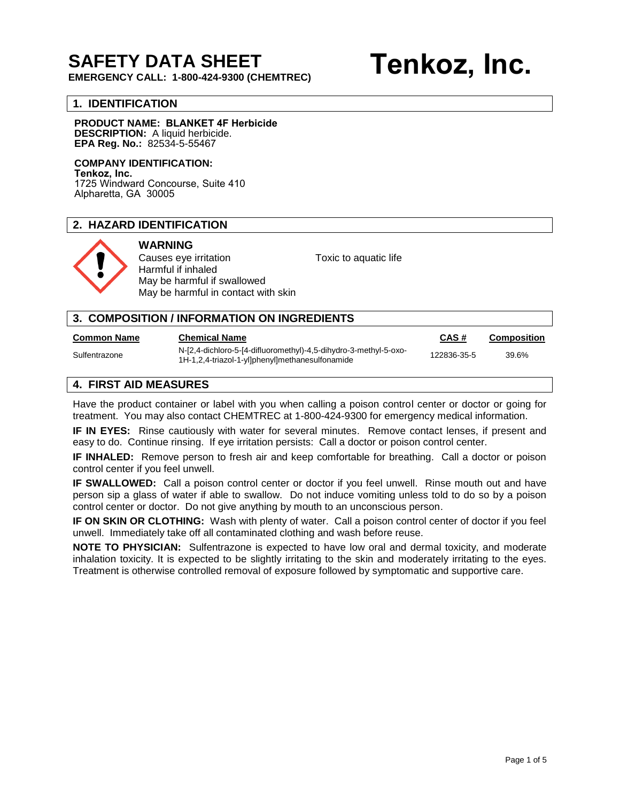## **SAFETY DATA SHEET**

**EMERGENCY CALL: 1-800-424-9300 (CHEMTREC)** 

# **Tenkoz, Inc.**

#### **1. IDENTIFICATION**

#### **PRODUCT NAME: BLANKET 4F Herbicide DESCRIPTION:** A liquid herbicide. **EPA Reg. No.:** 82534-5-55467

#### **COMPANY IDENTIFICATION:**

**Tenkoz, Inc.** 1725 Windward Concourse, Suite 410 Alpharetta, GA 30005

#### **2. HAZARD IDENTIFICATION**



### **WARNING**

Harmful if inhaled May be harmful if swallowed May be harmful in contact with skin

Causes eye irritation Toxic to aquatic life

| 3. COMPOSITION / INFORMATION ON INGREDIENTS |                                                                                                                     |             |                    |
|---------------------------------------------|---------------------------------------------------------------------------------------------------------------------|-------------|--------------------|
| Common Name                                 | <b>Chemical Name</b>                                                                                                | CAS#        | <b>Composition</b> |
| Sulfentrazone                               | N-[2,4-dichloro-5-[4-difluoromethyl)-4,5-dihydro-3-methyl-5-oxo-<br>1H-1,2,4-triazol-1-yl]phenyl]methanesulfonamide | 122836-35-5 | 39.6%              |
| $FIRAT$ and been an idea                    |                                                                                                                     |             |                    |

#### **4. FIRST AID MEASURES**

Have the product container or label with you when calling a poison control center or doctor or going for treatment. You may also contact CHEMTREC at 1-800-424-9300 for emergency medical information.

**IF IN EYES:** Rinse cautiously with water for several minutes. Remove contact lenses, if present and easy to do. Continue rinsing. If eye irritation persists: Call a doctor or poison control center.

**IF INHALED:** Remove person to fresh air and keep comfortable for breathing. Call a doctor or poison control center if you feel unwell.

**IF SWALLOWED:** Call a poison control center or doctor if you feel unwell. Rinse mouth out and have person sip a glass of water if able to swallow. Do not induce vomiting unless told to do so by a poison control center or doctor. Do not give anything by mouth to an unconscious person.

**IF ON SKIN OR CLOTHING:** Wash with plenty of water. Call a poison control center of doctor if you feel unwell. Immediately take off all contaminated clothing and wash before reuse.

**NOTE TO PHYSICIAN:** Sulfentrazone is expected to have low oral and dermal toxicity, and moderate inhalation toxicity. It is expected to be slightly irritating to the skin and moderately irritating to the eyes. Treatment is otherwise controlled removal of exposure followed by symptomatic and supportive care.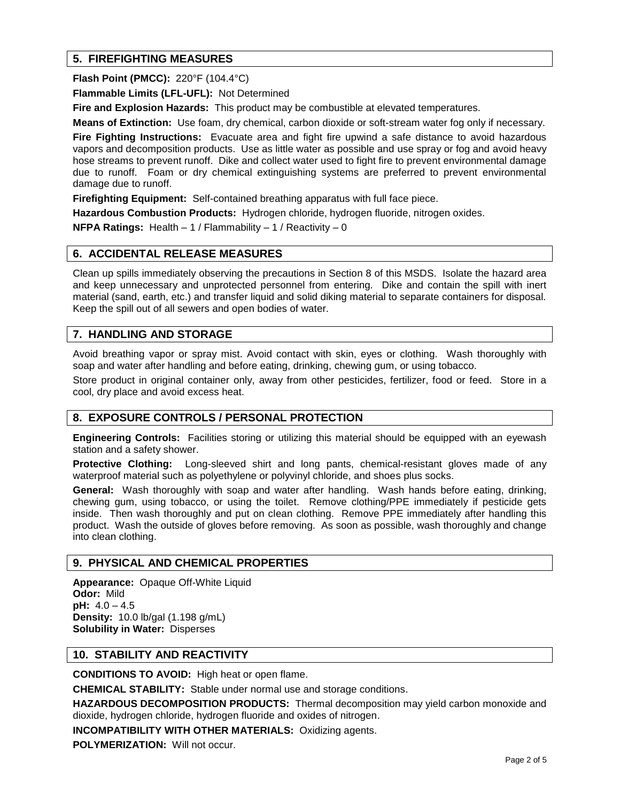#### **5. FIREFIGHTING MEASURES**

**Flash Point (PMCC):** 220°F (104.4°C)

**Flammable Limits (LFL-UFL):** Not Determined

**Fire and Explosion Hazards:** This product may be combustible at elevated temperatures.

**Means of Extinction:** Use foam, dry chemical, carbon dioxide or soft-stream water fog only if necessary.

**Fire Fighting Instructions:** Evacuate area and fight fire upwind a safe distance to avoid hazardous vapors and decomposition products. Use as little water as possible and use spray or fog and avoid heavy hose streams to prevent runoff. Dike and collect water used to fight fire to prevent environmental damage due to runoff. Foam or dry chemical extinguishing systems are preferred to prevent environmental damage due to runoff.

**Firefighting Equipment:** Self-contained breathing apparatus with full face piece.

**Hazardous Combustion Products:** Hydrogen chloride, hydrogen fluoride, nitrogen oxides.

**NFPA Ratings:** Health – 1 / Flammability – 1 / Reactivity – 0

#### **6. ACCIDENTAL RELEASE MEASURES**

Clean up spills immediately observing the precautions in Section 8 of this MSDS. Isolate the hazard area and keep unnecessary and unprotected personnel from entering. Dike and contain the spill with inert material (sand, earth, etc.) and transfer liquid and solid diking material to separate containers for disposal. Keep the spill out of all sewers and open bodies of water.

#### **7. HANDLING AND STORAGE**

Avoid breathing vapor or spray mist. Avoid contact with skin, eyes or clothing. Wash thoroughly with soap and water after handling and before eating, drinking, chewing gum, or using tobacco.

Store product in original container only, away from other pesticides, fertilizer, food or feed. Store in a cool, dry place and avoid excess heat.

#### **8. EXPOSURE CONTROLS / PERSONAL PROTECTION**

**Engineering Controls:** Facilities storing or utilizing this material should be equipped with an eyewash station and a safety shower.

**Protective Clothing:** Long-sleeved shirt and long pants, chemical-resistant gloves made of any waterproof material such as polyethylene or polyvinyl chloride, and shoes plus socks.

**General:** Wash thoroughly with soap and water after handling. Wash hands before eating, drinking, chewing gum, using tobacco, or using the toilet. Remove clothing/PPE immediately if pesticide gets inside. Then wash thoroughly and put on clean clothing. Remove PPE immediately after handling this product. Wash the outside of gloves before removing. As soon as possible, wash thoroughly and change into clean clothing.

#### **9. PHYSICAL AND CHEMICAL PROPERTIES**

**Appearance:** Opaque Off-White Liquid **Odor:** Mild **pH:** 4.0 – 4.5 **Density:** 10.0 lb/gal (1.198 g/mL) **Solubility in Water:** Disperses

#### **10. STABILITY AND REACTIVITY**

**CONDITIONS TO AVOID:** High heat or open flame.

**CHEMICAL STABILITY:** Stable under normal use and storage conditions.

**HAZARDOUS DECOMPOSITION PRODUCTS:** Thermal decomposition may yield carbon monoxide and dioxide, hydrogen chloride, hydrogen fluoride and oxides of nitrogen.

**INCOMPATIBILITY WITH OTHER MATERIALS:** Oxidizing agents.

**POLYMERIZATION:** Will not occur.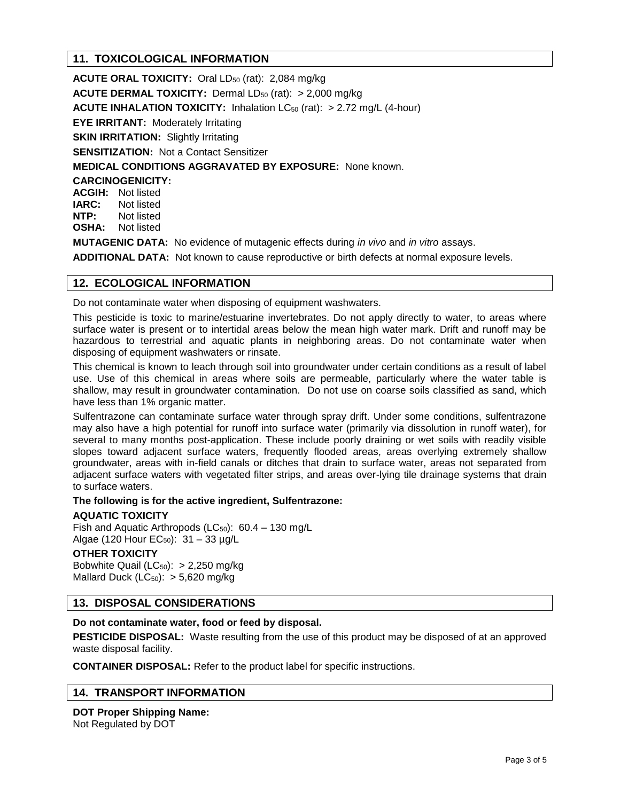#### **11. TOXICOLOGICAL INFORMATION**

**ACUTE ORAL TOXICITY:** Oral LD<sub>50</sub> (rat): 2,084 mg/kg **ACUTE DERMAL TOXICITY:** Dermal LD<sub>50</sub> (rat): > 2,000 mg/kg **ACUTE INHALATION TOXICITY:** Inhalation LC<sub>50</sub> (rat): > 2.72 mg/L (4-hour) **EYE IRRITANT: Moderately Irritating SKIN IRRITATION: Slightly Irritating SENSITIZATION:** Not a Contact Sensitizer **MEDICAL CONDITIONS AGGRAVATED BY EXPOSURE:** None known. **CARCINOGENICITY: ACGIH:** Not listed **IARC:** Not listed **NTP:** Not listed **OSHA:** Not listed **MUTAGENIC DATA:** No evidence of mutagenic effects during *in vivo* and *in vitro* assays. **ADDITIONAL DATA:** Not known to cause reproductive or birth defects at normal exposure levels.

#### **12. ECOLOGICAL INFORMATION**

Do not contaminate water when disposing of equipment washwaters.

This pesticide is toxic to marine/estuarine invertebrates. Do not apply directly to water, to areas where surface water is present or to intertidal areas below the mean high water mark. Drift and runoff may be hazardous to terrestrial and aquatic plants in neighboring areas. Do not contaminate water when disposing of equipment washwaters or rinsate.

This chemical is known to leach through soil into groundwater under certain conditions as a result of label use. Use of this chemical in areas where soils are permeable, particularly where the water table is shallow, may result in groundwater contamination. Do not use on coarse soils classified as sand, which have less than 1% organic matter.

Sulfentrazone can contaminate surface water through spray drift. Under some conditions, sulfentrazone may also have a high potential for runoff into surface water (primarily via dissolution in runoff water), for several to many months post-application. These include poorly draining or wet soils with readily visible slopes toward adjacent surface waters, frequently flooded areas, areas overlying extremely shallow groundwater, areas with in-field canals or ditches that drain to surface water, areas not separated from adjacent surface waters with vegetated filter strips, and areas over-lying tile drainage systems that drain to surface waters.

**The following is for the active ingredient, Sulfentrazone:** 

#### **AQUATIC TOXICITY**

Fish and Aquatic Arthropods ( $LC_{50}$ ): 60.4 – 130 mg/L Algae (120 Hour EC<sub>50</sub>):  $31 - 33 \mu g/L$ 

#### **OTHER TOXICITY**

Bobwhite Quail ( $LC_{50}$ ): > 2,250 mg/kg Mallard Duck ( $LC_{50}$ ):  $> 5,620$  mg/kg

#### **13. DISPOSAL CONSIDERATIONS**

#### **Do not contaminate water, food or feed by disposal.**

**PESTICIDE DISPOSAL:** Waste resulting from the use of this product may be disposed of at an approved waste disposal facility.

**CONTAINER DISPOSAL:** Refer to the product label for specific instructions.

#### **14. TRANSPORT INFORMATION**

**DOT Proper Shipping Name:**  Not Regulated by DOT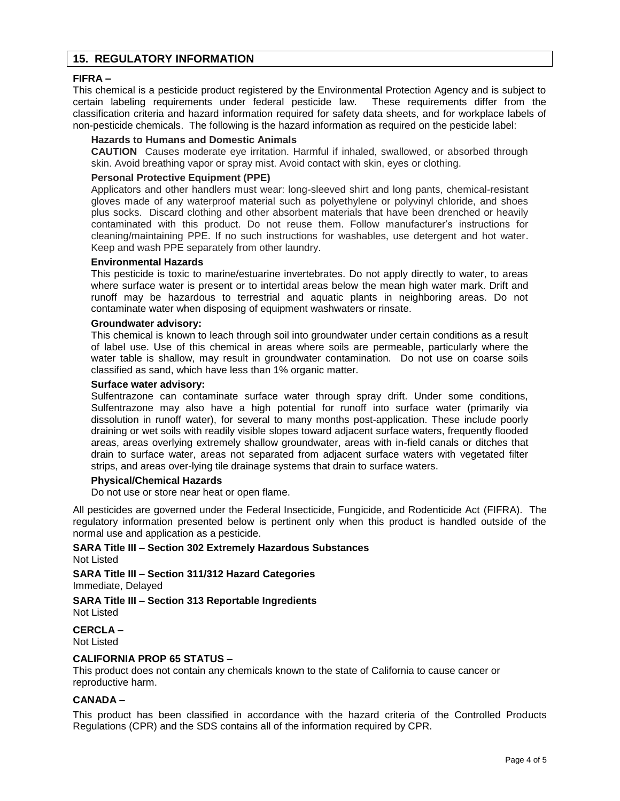#### **15. REGULATORY INFORMATION**

#### **FIFRA –**

This chemical is a pesticide product registered by the Environmental Protection Agency and is subject to certain labeling requirements under federal pesticide law. These requirements differ from the classification criteria and hazard information required for safety data sheets, and for workplace labels of non-pesticide chemicals. The following is the hazard information as required on the pesticide label:

#### **Hazards to Humans and Domestic Animals**

**CAUTION** Causes moderate eye irritation. Harmful if inhaled, swallowed, or absorbed through skin. Avoid breathing vapor or spray mist. Avoid contact with skin, eyes or clothing.

#### **Personal Protective Equipment (PPE)**

Applicators and other handlers must wear: long-sleeved shirt and long pants, chemical-resistant gloves made of any waterproof material such as polyethylene or polyvinyl chloride, and shoes plus socks. Discard clothing and other absorbent materials that have been drenched or heavily contaminated with this product. Do not reuse them. Follow manufacturer's instructions for cleaning/maintaining PPE. If no such instructions for washables, use detergent and hot water. Keep and wash PPE separately from other laundry.

#### **Environmental Hazards**

This pesticide is toxic to marine/estuarine invertebrates. Do not apply directly to water, to areas where surface water is present or to intertidal areas below the mean high water mark. Drift and runoff may be hazardous to terrestrial and aquatic plants in neighboring areas. Do not contaminate water when disposing of equipment washwaters or rinsate.

#### **Groundwater advisory:**

This chemical is known to leach through soil into groundwater under certain conditions as a result of label use. Use of this chemical in areas where soils are permeable, particularly where the water table is shallow, may result in groundwater contamination. Do not use on coarse soils classified as sand, which have less than 1% organic matter.

#### **Surface water advisory:**

Sulfentrazone can contaminate surface water through spray drift. Under some conditions, Sulfentrazone may also have a high potential for runoff into surface water (primarily via dissolution in runoff water), for several to many months post-application. These include poorly draining or wet soils with readily visible slopes toward adjacent surface waters, frequently flooded areas, areas overlying extremely shallow groundwater, areas with in-field canals or ditches that drain to surface water, areas not separated from adjacent surface waters with vegetated filter strips, and areas over-lying tile drainage systems that drain to surface waters.

#### **Physical/Chemical Hazards**

Do not use or store near heat or open flame.

All pesticides are governed under the Federal Insecticide, Fungicide, and Rodenticide Act (FIFRA). The regulatory information presented below is pertinent only when this product is handled outside of the normal use and application as a pesticide.

#### **SARA Title III – Section 302 Extremely Hazardous Substances**  Not Listed

**SARA Title III – Section 311/312 Hazard Categories**  Immediate, Delayed

**SARA Title III – Section 313 Reportable Ingredients**  Not Listed

**CERCLA –** Not Listed

#### **CALIFORNIA PROP 65 STATUS –**

This product does not contain any chemicals known to the state of California to cause cancer or reproductive harm.

#### **CANADA –**

This product has been classified in accordance with the hazard criteria of the Controlled Products Regulations (CPR) and the SDS contains all of the information required by CPR.